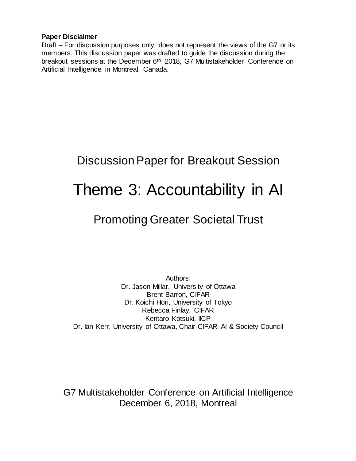#### **Paper Disclaimer**

Draft – For discussion purposes only; does not represent the views of the G7 or its members. This discussion paper was drafted to guide the discussion during the breakout sessions at the December 6<sup>th</sup>, 2018, G7 Multistakeholder Conference on Artificial Intelligence in Montreal, Canada.

## Discussion Paper for Breakout Session

# Theme 3: Accountability in AI

## Promoting Greater Societal Trust

Authors: Dr. Jason Millar, University of Ottawa Brent Barron, CIFAR Dr. Koichi Hori, University of Tokyo Rebecca Finlay, CIFAR Kentaro Kotsuki, IICP Dr. Ian Kerr, University of Ottawa, Chair CIFAR AI & Society Council

G7 Multistakeholder Conference on Artificial Intelligence December 6, 2018, Montreal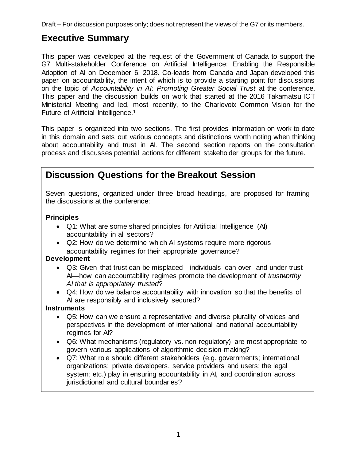## **Executive Summary**

This paper was developed at the request of the Government of Canada to support the G7 Multi-stakeholder Conference on Artificial Intelligence: Enabling the Responsible Adoption of AI on December 6, 2018. Co-leads from Canada and Japan developed this paper on accountability, the intent of which is to provide a starting point for discussions on the topic of *Accountability in AI: Promoting Greater Social Trust* at the conference. This paper and the discussion builds on work that started at the 2016 Takamatsu ICT Ministerial Meeting and led, most recently, to the Charlevoix Common Vision for the Future of Artificial Intelligence.<sup>1</sup>

This paper is organized into two sections. The first provides information on work to date in this domain and sets out various concepts and distinctions worth noting when thinking about accountability and trust in AI. The second section reports on the consultation process and discusses potential actions for different stakeholder groups for the future.

## **Discussion Questions for the Breakout Session**

Seven questions, organized under three broad headings, are proposed for framing the discussions at the conference:

#### **Principles**

- Q1: What are some shared principles for Artificial Intelligence (AI) accountability in all sectors?
- Q2: How do we determine which AI systems require more rigorous accountability regimes for their appropriate governance?

#### **Development**

- Q3: Given that trust can be misplaced—individuals can over- and under-trust AI—how can accountability regimes promote the development of *trustworthy AI that is appropriately trusted*?
- Q4: How do we balance accountability with innovation so that the benefits of AI are responsibly and inclusively secured?

#### **Instruments**

- Q5: How can we ensure a representative and diverse plurality of voices and perspectives in the development of international and national accountability regimes for AI?
- Q6: What mechanisms (regulatory vs. non-regulatory) are most appropriate to govern various applications of algorithmic decision-making?
- Q7: What role should different stakeholders (e.g. governments; international organizations; private developers, service providers and users; the legal system; etc.) play in ensuring accountability in AI, and coordination across jurisdictional and cultural boundaries?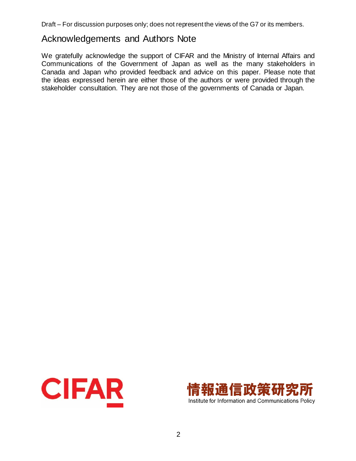## Acknowledgements and Authors Note

We gratefully acknowledge the support of CIFAR and the Ministry of Internal Affairs and Communications of the Government of Japan as well as the many stakeholders in Canada and Japan who provided feedback and advice on this paper. Please note that the ideas expressed herein are either those of the authors or were provided through the stakeholder consultation. They are not those of the governments of Canada or Japan.



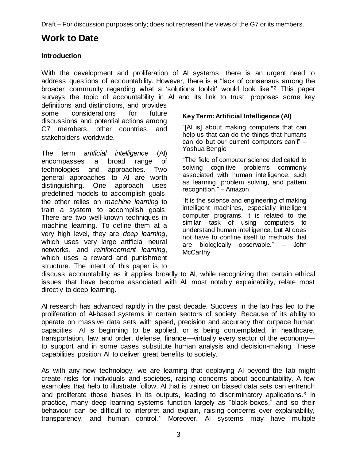## **Work to Date**

#### **Introduction**

With the development and proliferation of AI systems, there is an urgent need to address questions of accountability. However, there is a "lack of consensus among the broader community regarding what a 'solutions toolkit' would look like."<sup>2</sup> This paper surveys the topic of accountability in AI and its link to trust, proposes some key

definitions and distinctions, and provides some considerations for future discussions and potential actions among G7 members, other countries, and stakeholders worldwide.

The term *artificial intelligence* (AI) encompasses a broad range of technologies and approaches. Two general approaches to AI are worth distinguishing. One approach uses predefined models to accomplish goals; the other relies on *machine learning* to train a system to accomplish goals. There are two well-known techniques in machine learning. To define them at a very high level, they are *deep learning*, which uses very large artificial neural networks, and *reinforcement learning*, which uses a reward and punishment structure. The intent of this paper is to

#### **Key Term: Artificial Intelligence (AI)**

"[AI is] about making computers that can help us that can do the things that humans can do but our current computers can't" – Yoshua Bengio

"The field of computer science dedicated to solving cognitive problems commonly associated with human intelligence, such as learning, problem solving, and pattern recognition." – Amazon

"It is the science and engineering of making intelligent machines, especially intelligent computer programs. It is related to the similar task of using computers to understand human intelligence, but AI does not have to confine itself to methods that are biologically observable." – John **McCarthy** 

discuss accountability as it applies broadly to AI, while recognizing that certain ethical issues that have become associated with AI, most notably explainability, relate most directly to deep learning.

AI research has advanced rapidly in the past decade. Success in the lab has led to the proliferation of AI-based systems in certain sectors of society. Because of its ability to operate on massive data sets with speed, precision and accuracy that outpace human capacities, AI is beginning to be applied, or is being contemplated, in healthcare, transportation, law and order, defense, finance—virtually every sector of the economy to support and in some cases substitute human analysis and decision-making. These capabilities position AI to deliver great benefits to society.

As with any new technology, we are learning that deploying AI beyond the lab might create risks for individuals and societies, raising concerns about accountability. A few examples that help to illustrate follow. AI that is trained on biased data sets can entrench and proliferate those biases in its outputs, leading to discriminatory applications.<sup>3</sup> In practice, many deep learning systems function largely as "black-boxes," and so their behaviour can be difficult to interpret and explain, raising concerns over explainability, transparency, and human control.<sup>4</sup> Moreover, AI systems may have multiple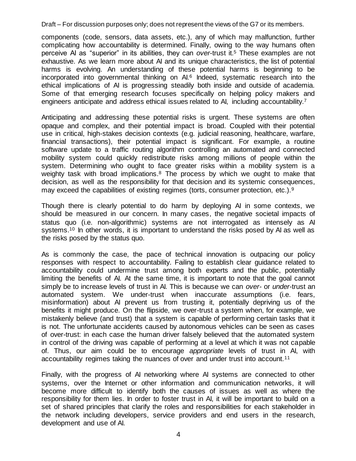components (code, sensors, data assets, etc.), any of which may malfunction, further complicating how accountability is determined. Finally, owing to the way humans often perceive AI as "superior" in its abilities, they can *over*-trust it.<sup>5</sup> These examples are not exhaustive. As we learn more about AI and its unique characteristics, the list of potential harms is evolving. An understanding of these potential harms is beginning to be incorporated into governmental thinking on AI.<sup>6</sup> Indeed, systematic research into the ethical implications of AI is progressing steadily both inside and outside of academia. Some of that emerging research focuses specifically on helping policy makers and engineers anticipate and address ethical issues related to AI, including accountability.<sup>7</sup>

Anticipating and addressing these potential risks is urgent. These systems are often opaque and complex, and their potential impact is broad. Coupled with their potential use in critical, high-stakes decision contexts (e.g. judicial reasoning, healthcare, warfare, financial transactions), their potential impact is significant. For example, a routine software update to a traffic routing algorithm controlling an automated and connected mobility system could quickly redistribute risks among millions of people within the system. Determining who ought to face greater risks within a mobility system is a weighty task with broad implications.<sup>8</sup> The process by which we ought to make that decision, as well as the responsibility for that decision and its systemic consequences, may exceed the capabilities of existing regimes (torts, consumer protection, etc.).<sup>9</sup>

Though there is clearly potential to do harm by deploying AI in some contexts, we should be measured in our concern. In many cases, the negative societal impacts of status quo (i.e. non-algorithmic) systems are not interrogated as intensely as AI systems.<sup>10</sup> In other words, it is important to understand the risks posed by AI as well as the risks posed by the status quo.

As is commonly the case, the pace of technical innovation is outpacing our policy responses with respect to accountability. Failing to establish clear guidance related to accountability could undermine trust among both experts and the public, potentially limiting the benefits of AI. At the same time, it is important to note that the goal cannot simply be to increase levels of trust in AI. This is because we can *over-* or *under*-trust an automated system. We under-trust when inaccurate assumptions (i.e. fears, misinformation) about AI prevent us from trusting it, potentially depriving us of the benefits it might produce. On the flipside, we over-trust a system when, for example, we mistakenly believe (and trust) that a system is capable of performing certain tasks that it is not. The unfortunate accidents caused by autonomous vehicles can be seen as cases of over-trust: in each case the human driver falsely believed that the automated system in control of the driving was capable of performing at a level at which it was not capable of. Thus, our aim could be to encourage *appropriate* levels of trust in AI, with accountability regimes taking the nuances of over and under trust into account.<sup>11</sup>

Finally, with the progress of AI networking where AI systems are connected to other systems, over the Internet or other information and communication networks, it will become more difficult to identify both the causes of issues as well as where the responsibility for them lies. In order to foster trust in AI, it will be important to build on a set of shared principles that clarify the roles and responsibilities for each stakeholder in the network including developers, service providers and end users in the research, development and use of AI.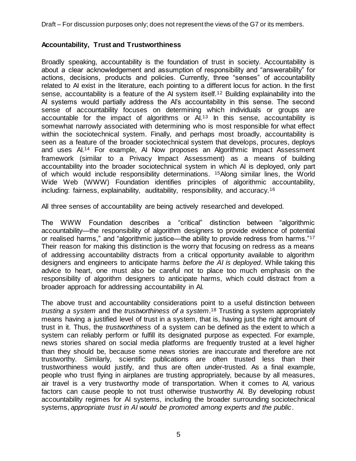#### **Accountability, Trust and Trustworthiness**

Broadly speaking, accountability is the foundation of trust in society. Accountability is about a clear acknowledgement and assumption of responsibility and "answerability" for actions, decisions, products and policies. Currently, three "senses" of accountability related to AI exist in the literature, each pointing to a different locus for action. In the first sense, accountability is a feature of the AI system itself.<sup>12</sup> Building explainability into the AI systems would partially address the AI's accountability in this sense. The second sense of accountability focuses on determining which individuals or groups are accountable for the impact of algorithms or Al.<sup>13</sup> In this sense, accountability is somewhat narrowly associated with determining who is most responsible for what effect within the sociotechnical system. Finally, and perhaps most broadly, accountability is seen as a feature of the broader sociotechnical system that develops, procures, deploys and uses AI.<sup>14</sup> For example, AI Now proposes an Algorithmic Impact Assessment framework (similar to a Privacy Impact Assessment) as a means of building accountability into the broader sociotechnical system in which AI is deployed, only part of which would include responsibility determinations. 15Along similar lines, the World Wide Web (WWW) Foundation identifies principles of algorithmic accountability, including: fairness, explainability, auditability, responsibility, and accuracy.<sup>16</sup>

All three senses of accountability are being actively researched and developed.

The WWW Foundation describes a "critical" distinction between "algorithmic accountability—the responsibility of algorithm designers to provide evidence of potential or realised harms," and "algorithmic justice—the ability to provide redress from harms."<sup>17</sup> Their reason for making this distinction is the worry that focusing on redress as a means of addressing accountability distracts from a critical opportunity available to algorithm designers and engineers to anticipate harms *before the AI is deployed*. While taking this advice to heart, one must also be careful not to place too much emphasis on the responsibility of algorithm designers to anticipate harms, which could distract from a broader approach for addressing accountability in AI.

The above trust and accountability considerations point to a useful distinction between *trusting a system* and the *trustworthiness of a system*. <sup>18</sup> Trusting a system appropriately means having a justified level of trust in a system, that is, having just the right amount of trust in it. Thus, the *trustworthiness* of a system can be defined as the extent to which a system can reliably perform or fulfill its designated purpose as expected. For example, news stories shared on social media platforms are frequently trusted at a level higher than they should be, because some news stories are inaccurate and therefore are not trustworthy. Similarly, scientific publications are often trusted less than their trustworthiness would justify, and thus are often *under*-trusted. As a final example, people who trust flying in airplanes are trusting appropriately, because by all measures, air travel is a very trustworthy mode of transportation. When it comes to AI, various factors can cause people to not trust otherwise trustworthy AI. By developing robust accountability regimes for AI systems, including the broader surrounding sociotechnical systems, *appropriate trust in AI would be promoted among experts and the public*.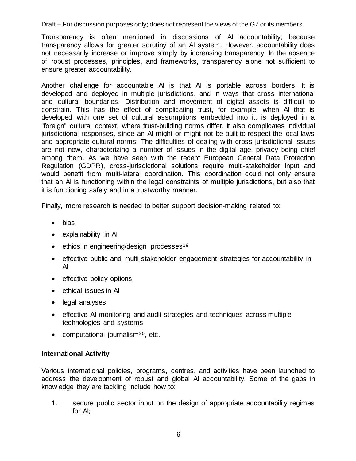Transparency is often mentioned in discussions of AI accountability, because transparency allows for greater scrutiny of an AI system. However, accountability does not necessarily increase or improve simply by increasing transparency. In the absence of robust processes, principles, and frameworks, transparency alone not sufficient to ensure greater accountability.

Another challenge for accountable AI is that AI is portable across borders. It is developed and deployed in multiple jurisdictions, and in ways that cross international and cultural boundaries. Distribution and movement of digital assets is difficult to constrain. This has the effect of complicating trust, for example, when AI that is developed with one set of cultural assumptions embedded into it, is deployed in a "foreign" cultural context, where trust-building norms differ. It also complicates individual jurisdictional responses, since an AI might or might not be built to respect the local laws and appropriate cultural norms. The difficulties of dealing with cross-jurisdictional issues are not new, characterizing a number of issues in the digital age, privacy being chief among them. As we have seen with the recent European General Data Protection Regulation (GDPR), cross-jurisdictional solutions require multi-stakeholder input and would benefit from multi-lateral coordination. This coordination could not only ensure that an AI is functioning within the legal constraints of multiple jurisdictions, but also that it is functioning safely and in a trustworthy manner.

Finally, more research is needed to better support decision-making related to:

- bias
- explainability in AI
- $\bullet$  ethics in engineering/design processes<sup>19</sup>
- effective public and multi-stakeholder engagement strategies for accountability in AI
- effective policy options
- ethical issues in AI
- legal analyses
- effective AI monitoring and audit strategies and techniques across multiple technologies and systems
- computational journalism<sup>20</sup>, etc.

#### **International Activity**

Various international policies, programs, centres, and activities have been launched to address the development of robust and global AI accountability. Some of the gaps in knowledge they are tackling include how to:

1. secure public sector input on the design of appropriate accountability regimes for AI;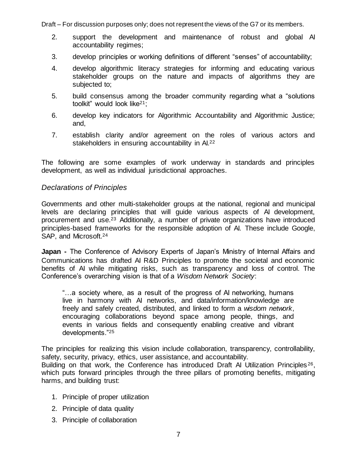- 2. support the development and maintenance of robust and global AI accountability regimes;
- 3. develop principles or working definitions of different "senses" of accountability;
- 4. develop algorithmic literacy strategies for informing and educating various stakeholder groups on the nature and impacts of algorithms they are subjected to;
- 5. build consensus among the broader community regarding what a "solutions toolkit" would look like21;
- 6. develop key indicators for Algorithmic Accountability and Algorithmic Justice; and,
- 7. establish clarity and/or agreement on the roles of various actors and stakeholders in ensuring accountability in Al.<sup>22</sup>

The following are some examples of work underway in standards and principles development, as well as individual jurisdictional approaches.

#### *Declarations of Principles*

Governments and other multi-stakeholder groups at the national, regional and municipal levels are declaring principles that will guide various aspects of AI development, procurement and use.<sup>23</sup> Additionally, a number of private organizations have introduced principles-based frameworks for the responsible adoption of AI. These include Google, SAP, and Microsoft.<sup>24</sup>

**Japan -** The Conference of Advisory Experts of Japan's Ministry of Internal Affairs and Communications has drafted AI R&D Principles to promote the societal and economic benefits of AI while mitigating risks, such as transparency and loss of control. The Conference's overarching vision is that of a *Wisdom Network Society*:

"…a society where, as a result of the progress of AI networking, humans live in harmony with AI networks, and data/information/knowledge are freely and safely created, distributed, and linked to form a *wisdom network*, encouraging collaborations beyond space among people, things, and events in various fields and consequently enabling creative and vibrant developments."<sup>25</sup>

The principles for realizing this vision include collaboration, transparency, controllability, safety, security, privacy, ethics, user assistance, and accountability.

Building on that work, the Conference has introduced Draft AI Utilization Principles<sup>26</sup>, which puts forward principles through the three pillars of promoting benefits, mitigating harms, and building trust:

- 1. Principle of proper utilization
- 2. Principle of data quality
- 3. Principle of collaboration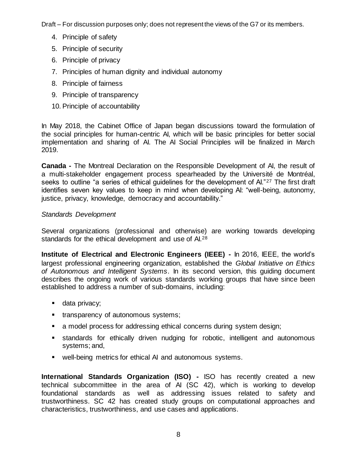- 4. Principle of safety
- 5. Principle of security
- 6. Principle of privacy
- 7. Principles of human dignity and individual autonomy
- 8. Principle of fairness
- 9. Principle of transparency
- 10. Principle of accountability

In May 2018, the Cabinet Office of Japan began discussions toward the formulation of the social principles for human-centric AI, which will be basic principles for better social implementation and sharing of AI. The AI Social Principles will be finalized in March 2019.

**Canada -** The Montreal Declaration on the Responsible Development of AI, the result of a multi-stakeholder engagement process spearheaded by the Université de Montréal, seeks to outline "a series of ethical guidelines for the development of AI."<sup>27</sup> The first draft identifies seven key values to keep in mind when developing AI: "well-being, autonomy, justice, privacy, knowledge, democracy and accountability."

#### *Standards Development*

Several organizations (professional and otherwise) are working towards developing standards for the ethical development and use of AI.<sup>28</sup>

**Institute of Electrical and Electronic Engineers (IEEE) -** In 2016, IEEE, the world's largest professional engineering organization, established the *Global Initiative on Ethics of Autonomous and Intelligent Systems*. In its second version, this guiding document describes the ongoing work of various standards working groups that have since been established to address a number of sub-domains, including:

- data privacy;
- **transparency of autonomous systems;**
- a model process for addressing ethical concerns during system design;
- standards for ethically driven nudging for robotic, intelligent and autonomous systems; and,
- well-being metrics for ethical AI and autonomous systems.

**International Standards Organization (ISO) -** ISO has recently created a new technical subcommittee in the area of AI (SC 42), which is working to develop foundational standards as well as addressing issues related to safety and trustworthiness. SC 42 has created study groups on computational approaches and characteristics, trustworthiness, and use cases and applications.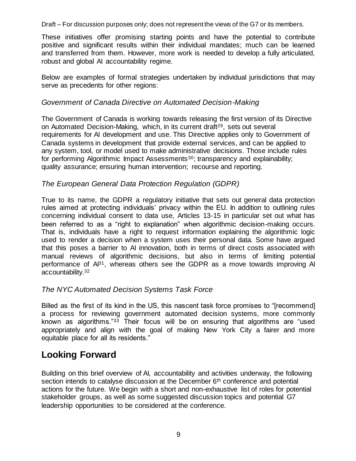These initiatives offer promising starting points and have the potential to contribute positive and significant results within their individual mandates; much can be learned and transferred from them. However, more work is needed to develop a fully articulated, robust and global AI accountability regime.

Below are examples of formal strategies undertaken by individual jurisdictions that may serve as precedents for other regions:

#### *Government of Canada Directive on Automated Decision-Making*

The Government of Canada is working towards releasing the first version of its Directive on Automated Decision-Making, which, in its current draft<sup>29</sup>, sets out several requirements for AI development and use. This Directive applies only to Government of Canada systems in development that provide external services, and can be applied to any system, tool, or model used to make administrative decisions. Those include rules for performing Algorithmic Impact Assessments<sup>30</sup>; transparency and explainability; quality assurance; ensuring human intervention; recourse and reporting.

#### *The European General Data Protection Regulation (GDPR)*

True to its name, the GDPR a regulatory initiative that sets out general data protection rules aimed at protecting individuals' privacy within the EU. In addition to outlining rules concerning individual consent to data use, Articles 13-15 in particular set out what has been referred to as a "right to explanation" when algorithmic decision-making occurs. That is, individuals have a right to request information explaining the algorithmic logic used to render a decision when a system uses their personal data. Some have argued that this poses a barrier to AI innovation, both in terms of direct costs associated with manual reviews of algorithmic decisions, but also in terms of limiting potential performance of AI31, whereas others see the GDPR as a move towards improving AI accountability.<sup>32</sup>

#### *The NYC Automated Decision Systems Task Force*

Billed as the first of its kind in the US, this nascent task force promises to "[recommend] a process for reviewing government automated decision systems, more commonly known as algorithms."<sup>33</sup> Their focus will be on ensuring that algorithms are "used appropriately and align with the goal of making New York City a fairer and more equitable place for all its residents."

### **Looking Forward**

Building on this brief overview of AI, accountability and activities underway, the following section intends to catalyse discussion at the December 6<sup>th</sup> conference and potential actions for the future. We begin with a short and non-exhaustive list of roles for potential stakeholder groups, as well as some suggested discussion topics and potential G7 leadership opportunities to be considered at the conference.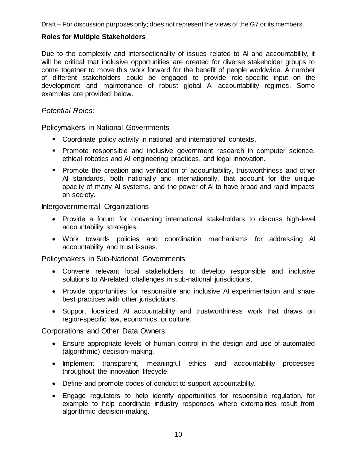#### **Roles for Multiple Stakeholders**

Due to the complexity and intersectionality of issues related to AI and accountability, it will be critical that inclusive opportunities are created for diverse stakeholder groups to come together to move this work forward for the benefit of people worldwide. A number of different stakeholders could be engaged to provide role-specific input on the development and maintenance of robust global AI accountability regimes. Some examples are provided below.

#### *Potential Roles:*

Policymakers in National Governments

- Coordinate policy activity in national and international contexts.
- **Promote responsible and inclusive government research in computer science,** ethical robotics and AI engineering practices, and legal innovation.
- **Promote the creation and verification of accountability, trustworthiness and other** AI standards, both nationally and internationally, that account for the unique opacity of many AI systems, and the power of AI to have broad and rapid impacts on society.

Intergovernmental Organizations

- Provide a forum for convening international stakeholders to discuss high-level accountability strategies.
- Work towards policies and coordination mechanisms for addressing AI accountability and trust issues.

Policymakers in Sub-National Governments

- Convene relevant local stakeholders to develop responsible and inclusive solutions to AI-related challenges in sub-national jurisdictions.
- Provide opportunities for responsible and inclusive AI experimentation and share best practices with other jurisdictions.
- Support localized AI accountability and trustworthiness work that draws on region-specific law, economics, or culture.

Corporations and Other Data Owners

- Ensure appropriate levels of human control in the design and use of automated (algorithmic) decision-making.
- Implement transparent, meaningful ethics and accountability processes throughout the innovation lifecycle.
- Define and promote codes of conduct to support accountability.
- Engage regulators to help identify opportunities for responsible regulation, for example to help coordinate industry responses where externalities result from algorithmic decision-making.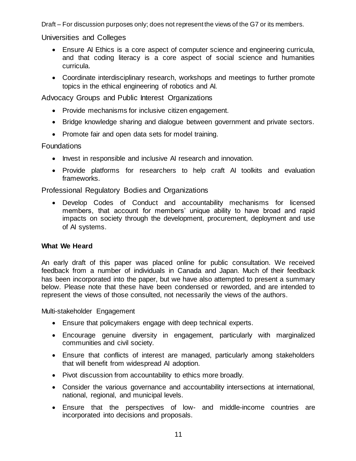Universities and Colleges

- Ensure AI Ethics is a core aspect of computer science and engineering curricula, and that coding literacy is a core aspect of social science and humanities curricula.
- Coordinate interdisciplinary research, workshops and meetings to further promote topics in the ethical engineering of robotics and AI.

Advocacy Groups and Public Interest Organizations

- Provide mechanisms for inclusive citizen engagement.
- Bridge knowledge sharing and dialogue between government and private sectors.
- Promote fair and open data sets for model training.

**Foundations** 

- Invest in responsible and inclusive AI research and innovation.
- Provide platforms for researchers to help craft AI toolkits and evaluation frameworks.

Professional Regulatory Bodies and Organizations

 Develop Codes of Conduct and accountability mechanisms for licensed members, that account for members' unique ability to have broad and rapid impacts on society through the development, procurement, deployment and use of AI systems.

#### **What We Heard**

An early draft of this paper was placed online for public consultation. We received feedback from a number of individuals in Canada and Japan. Much of their feedback has been incorporated into the paper, but we have also attempted to present a summary below. Please note that these have been condensed or reworded, and are intended to represent the views of those consulted, not necessarily the views of the authors.

Multi-stakeholder Engagement

- Ensure that policymakers engage with deep technical experts.
- Encourage genuine diversity in engagement, particularly with marginalized communities and civil society.
- Ensure that conflicts of interest are managed, particularly among stakeholders that will benefit from widespread AI adoption.
- Pivot discussion from accountability to ethics more broadly.
- Consider the various governance and accountability intersections at international, national, regional, and municipal levels.
- Ensure that the perspectives of low- and middle-income countries are incorporated into decisions and proposals.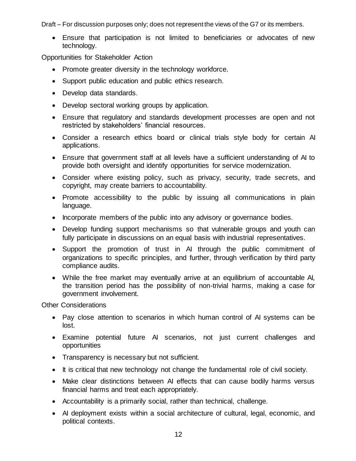Ensure that participation is not limited to beneficiaries or advocates of new technology.

Opportunities for Stakeholder Action

- Promote greater diversity in the technology workforce.
- Support public education and public ethics research.
- Develop data standards.
- Develop sectoral working groups by application.
- Ensure that regulatory and standards development processes are open and not restricted by stakeholders' financial resources.
- Consider a research ethics board or clinical trials style body for certain AI applications.
- Ensure that government staff at all levels have a sufficient understanding of AI to provide both oversight and identify opportunities for service modernization.
- Consider where existing policy, such as privacy, security, trade secrets, and copyright, may create barriers to accountability.
- Promote accessibility to the public by issuing all communications in plain language.
- Incorporate members of the public into any advisory or governance bodies.
- Develop funding support mechanisms so that vulnerable groups and youth can fully participate in discussions on an equal basis with industrial representatives.
- Support the promotion of trust in AI through the public commitment of organizations to specific principles, and further, through verification by third party compliance audits.
- While the free market may eventually arrive at an equilibrium of accountable AI, the transition period has the possibility of non-trivial harms, making a case for government involvement.

Other Considerations

- Pay close attention to scenarios in which human control of AI systems can be lost.
- Examine potential future AI scenarios, not just current challenges and opportunities
- Transparency is necessary but not sufficient.
- It is critical that new technology not change the fundamental role of civil society.
- Make clear distinctions between AI effects that can cause bodily harms versus financial harms and treat each appropriately.
- Accountability is a primarily social, rather than technical, challenge.
- AI deployment exists within a social architecture of cultural, legal, economic, and political contexts.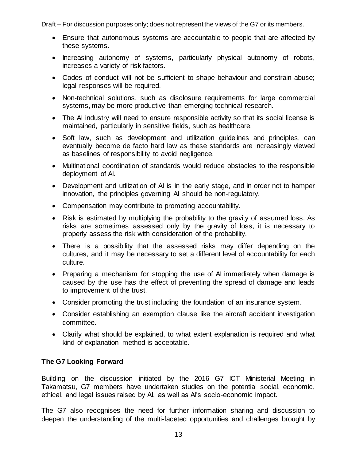- Ensure that autonomous systems are accountable to people that are affected by these systems.
- Increasing autonomy of systems, particularly physical autonomy of robots, increases a variety of risk factors.
- Codes of conduct will not be sufficient to shape behaviour and constrain abuse; legal responses will be required.
- Non-technical solutions, such as disclosure requirements for large commercial systems, may be more productive than emerging technical research.
- The AI industry will need to ensure responsible activity so that its social license is maintained, particularly in sensitive fields, such as healthcare.
- Soft law, such as development and utilization guidelines and principles, can eventually become de facto hard law as these standards are increasingly viewed as baselines of responsibility to avoid negligence.
- Multinational coordination of standards would reduce obstacles to the responsible deployment of AI.
- Development and utilization of AI is in the early stage, and in order not to hamper innovation, the principles governing AI should be non-regulatory.
- Compensation may contribute to promoting accountability.
- Risk is estimated by multiplying the probability to the gravity of assumed loss. As risks are sometimes assessed only by the gravity of loss, it is necessary to properly assess the risk with consideration of the probability.
- There is a possibility that the assessed risks may differ depending on the cultures, and it may be necessary to set a different level of accountability for each culture.
- Preparing a mechanism for stopping the use of AI immediately when damage is caused by the use has the effect of preventing the spread of damage and leads to improvement of the trust.
- Consider promoting the trust including the foundation of an insurance system.
- Consider establishing an exemption clause like the aircraft accident investigation committee.
- Clarify what should be explained, to what extent explanation is required and what kind of explanation method is acceptable.

#### **The G7 Looking Forward**

Building on the discussion initiated by the 2016 G7 ICT Ministerial Meeting in Takamatsu, G7 members have undertaken studies on the potential social, economic, ethical, and legal issues raised by AI, as well as AI's socio-economic impact.

The G7 also recognises the need for further information sharing and discussion to deepen the understanding of the multi-faceted opportunities and challenges brought by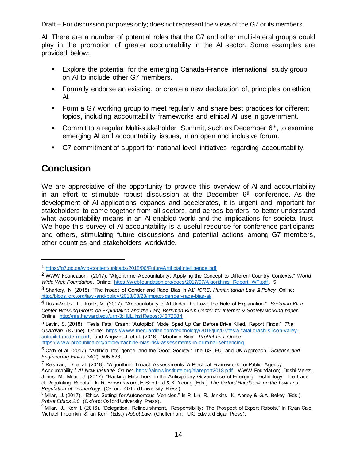AI. There are a number of potential roles that the G7 and other multi-lateral groups could play in the promotion of greater accountability in the AI sector. Some examples are provided below:

- Explore the potential for the emerging Canada-France international study group on AI to include other G7 members.
- Formally endorse an existing, or create a new declaration of, principles on ethical AI.
- Form a G7 working group to meet regularly and share best practices for different topics, including accountability frameworks and ethical AI use in government.
- Commit to a regular Multi-stakeholder Summit, such as December 6<sup>th</sup>, to examine emerging AI and accountability issues, in an open and inclusive forum.
- G7 commitment of support for national-level initiatives regarding accountability.

## **Conclusion**

 $\overline{a}$ 

We are appreciative of the opportunity to provide this overview of AI and accountability in an effort to stimulate robust discussion at the December  $6<sup>th</sup>$  conference. As the development of AI applications expands and accelerates, it is urgent and important for stakeholders to come together from all sectors, and across borders, to better understand what accountability means in an AI-enabled world and the implications for societal trust. We hope this survey of AI accountability is a useful resource for conference participants and others, stimulating future discussions and potential actions among G7 members, other countries and stakeholders worldwide.

<sup>1</sup> [https://g7.gc.ca/w p-content/uploads/2018/06/FutureArtificialIntelligence.pdf](https://g7.gc.ca/wp-content/uploads/2018/06/FutureArtificialIntelligence.pdf)

<sup>2</sup> WWW Foundation. (2017). "Algorithmic Accountability: Applying the Concept to Different Country Contexts." *World Wide Web Foundation*. Online: [https://w ebfoundation.org/docs/2017/07/Algorithms\\_Report\\_WF.pdf](https://webfoundation.org/docs/2017/07/Algorithms_Report_WF.pdf), 5.

<sup>3</sup> Sharkey, N. (2018). "The Impact of Gender and Race Bias in AI." *ICRC: Humanitarian Law & Policy.* Online: http://blogs.icrc.org/law [-and-policy/2018/08/28/impact-gender-race-bias-ai/](http://blogs.icrc.org/law-and-policy/2018/08/28/impact-gender-race-bias-ai/)

<sup>4</sup> Doshi-Velez, F., Kortz, M. (2017). "Accountability of AI Under the Law : The Role of Explanation." *Berkman Klein Center Working Group on Explanation and the Law, Berkman Klein Center for Internet & Society working paper.* Online:<http://nrs.harvard.edu/urn-3:HUL.InstRepos:34372584>

<sup>5</sup> Levin, S. (2018). "Tesla Fatal Crash: "Autopilot" Mode Sped Up Car Before Drive Killed, Report Finds." *The Guardian*. (8 June). Online: [https://w ww.theguardian.com/technology/2018/jun/07/tesla-fatal-crash-silicon-valley](https://www.theguardian.com/technology/2018/jun/07/tesla-fatal-crash-silicon-valley-autopilot-mode-report)[autopilot-mode-report;](https://www.theguardian.com/technology/2018/jun/07/tesla-fatal-crash-silicon-valley-autopilot-mode-report) and Angw in, J. et al. (2016). "Machine Bias." *ProPublica.* Online: [https://w ww.propublica.org/article/machine-bias-risk-assessments-in-criminal-sentencing](https://www.propublica.org/article/machine-bias-risk-assessments-in-criminal-sentencing)

<sup>6</sup> Cath et al. (2017). "Artificial Intelligence and the 'Good Society': The US, EU, and UK Approach." *Science and Engineering Ethics 24*(2): 505-528.

<sup>7</sup> Reisman, D. et al. (2018). "Algorithmic Impact Assessments: A Practical Framew ork for Public Agency Accountability." *AI Now Institute.* Online: [https://ainow institute.org/aiareport2018.pdf;](https://ainowinstitute.org/aiareport2018.pdf) WWW Foundation; Doshi-Velez.; Jones, M., Millar, J. (2017). "Hacking Metaphors in the Anticipatory Governance of Emerging Technology: The Case of Regulating Robots." In R. Brow nsw ord, E. Scotford & K. Yeung (Eds.) *The Oxford Handbook on the Law and Regulation of Technology*. (Oxford: Oxford University Press).

<sup>8</sup> Millar, J. (2017). "Ethics Setting for Autonomous Vehicles." In P. Lin, R. Jenkins, K. Abney & G.A. Bekey (Eds.) *Robot Ethics 2.0.* (Oxford: Oxford University Press).

<sup>&</sup>lt;sup>9</sup> Millar, J., Kerr, I. (2016). "Delegation, Relinquishment, Responsibility: The Prospect of Expert Robots." In Ryan Calo, Michael Froomkin & Ian Kerr. (Eds.) *Robot Law*. (Cheltenham, UK: Edw ard Elgar Press).